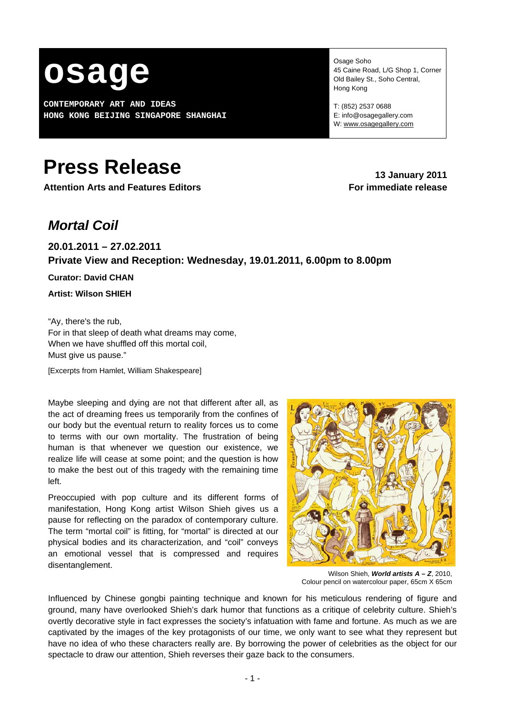

**CONTEMPORARY ART AND IDEAS HONG KONG BEIJING SINGAPORE SHANGHAI** Osage Soho 45 Caine Road, L/G Shop 1, Corner Old Bailey St., Soho Central, Hong Kong

T: (852) 2537 0688 E: info@osagegallery.com W: [www.osagegallery.com](http://www.osagegallery.com/)

# **Press Release** 2011

**Attention Arts and Features Editors For immediate release**

# *Mortal Coil*

# **20.01.2011 – 27.02.2011 Private View and Reception: Wednesday, 19.01.2011, 6.00pm to 8.00pm**

**Curator: David CHAN** 

**Artist: Wilson SHIEH** 

"Ay, there's the rub, For in that sleep of death what dreams may come, When we have shuffled off this mortal coil, Must give us pause."

[Excerpts from Hamlet, William Shakespeare]

Maybe sleeping and dying are not that different after all, as the act of dreaming frees us temporarily from the confines of our body but the eventual return to reality forces us to come to terms with our own mortality. The frustration of being human is that whenever we question our existence, we realize life will cease at some point; and the question is how to make the best out of this tragedy with the remaining time left.

Preoccupied with pop culture and its different forms of manifestation, Hong Kong artist Wilson Shieh gives us a pause for reflecting on the paradox of contemporary culture. The term "mortal coil" is fitting, for "mortal" is directed at our physical bodies and its characterization, and "coil" conveys an emotional vessel that is compressed and requires disentanglement.



Wilson Shieh, *World artists A – Z*, 2010, Colour pencil on watercolour paper, 65cm X 65cm

Influenced by Chinese gongbi painting technique and known for his meticulous rendering of figure and ground, many have overlooked Shieh's dark humor that functions as a critique of celebrity culture. Shieh's overtly decorative style in fact expresses the society's infatuation with fame and fortune. As much as we are captivated by the images of the key protagonists of our time, we only want to see what they represent but have no idea of who these characters really are. By borrowing the power of celebrities as the object for our spectacle to draw our attention, Shieh reverses their gaze back to the consumers.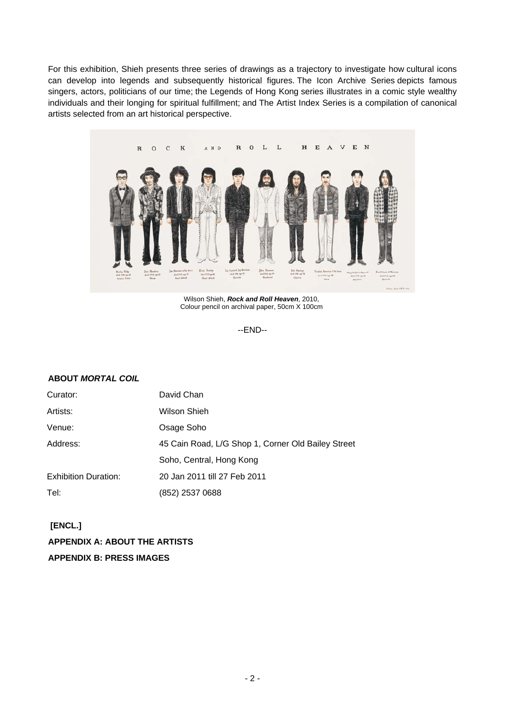For this exhibition, Shieh presents three series of drawings as a trajectory to investigate how cultural icons can develop into legends and subsequently historical figures. The Icon Archive Series depicts famous singers, actors, politicians of our time; the Legends of Hong Kong series illustrates in a comic style wealthy individuals and their longing for spiritual fulfillment; and The Artist Index Series is a compilation of canonical artists selected from an art historical perspective.



Wilson Shieh, *Rock and Roll Heaven*, 2010, Colour pencil on archival paper, 50cm X 100cm

--END--

## **ABOUT** *MORTAL COIL*

| Curator:                    | David Chan                                         |
|-----------------------------|----------------------------------------------------|
| Artists:                    | Wilson Shieh                                       |
| Venue:                      | Osage Soho                                         |
| Address:                    | 45 Cain Road, L/G Shop 1, Corner Old Bailey Street |
|                             | Soho, Central, Hong Kong                           |
| <b>Exhibition Duration:</b> | 20 Jan 2011 till 27 Feb 2011                       |
| Tel:                        | (852) 2537 0688                                    |

 **[ENCL.] APPENDIX A: ABOUT THE ARTISTS APPENDIX B: PRESS IMAGES**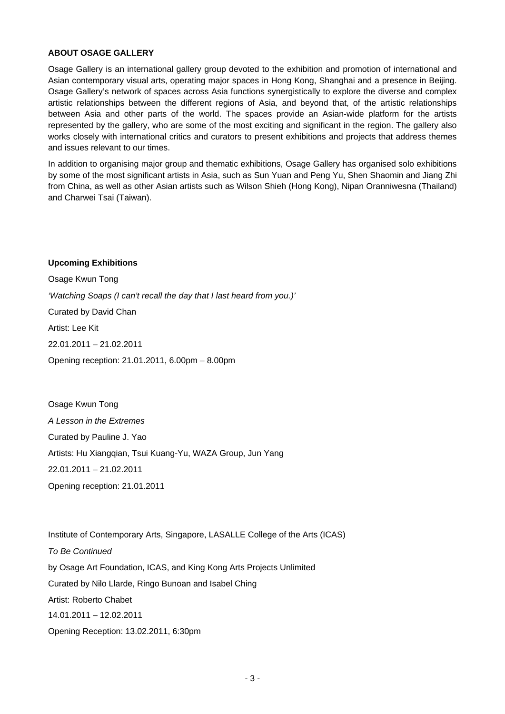#### **ABOUT OSAGE GALLERY**

Osage Gallery is an international gallery group devoted to the exhibition and promotion of international and Asian contemporary visual arts, operating major spaces in Hong Kong, Shanghai and a presence in Beijing. Osage Gallery's network of spaces across Asia functions synergistically to explore the diverse and complex artistic relationships between the different regions of Asia, and beyond that, of the artistic relationships between Asia and other parts of the world. The spaces provide an Asian-wide platform for the artists represented by the gallery, who are some of the most exciting and significant in the region. The gallery also works closely with international critics and curators to present exhibitions and projects that address themes and issues relevant to our times.

In addition to organising major group and thematic exhibitions, Osage Gallery has organised solo exhibitions by some of the most significant artists in Asia, such as Sun Yuan and Peng Yu, Shen Shaomin and Jiang Zhi from China, as well as other Asian artists such as Wilson Shieh (Hong Kong), Nipan Oranniwesna (Thailand) and Charwei Tsai (Taiwan).

#### **Upcoming Exhibitions**

Osage Kwun Tong *'Watching Soaps (I can't recall the day that I last heard from you.)'*  Curated by David Chan Artist: Lee Kit 22.01.2011 – 21.02.2011 Opening reception: 21.01.2011, 6.00pm – 8.00pm

Osage Kwun Tong *A Lesson in the Extremes*  Curated by Pauline J. Yao Artists: Hu Xiangqian, Tsui Kuang-Yu, WAZA Group, Jun Yang 22.01.2011 – 21.02.2011 Opening reception: 21.01.2011

Institute of Contemporary Arts, Singapore, LASALLE College of the Arts (ICAS) *To Be Continued*  by Osage Art Foundation, ICAS, and King Kong Arts Projects Unlimited Curated by Nilo Llarde, Ringo Bunoan and Isabel Ching Artist: Roberto Chabet 14.01.2011 – 12.02.2011 Opening Reception: 13.02.2011, 6:30pm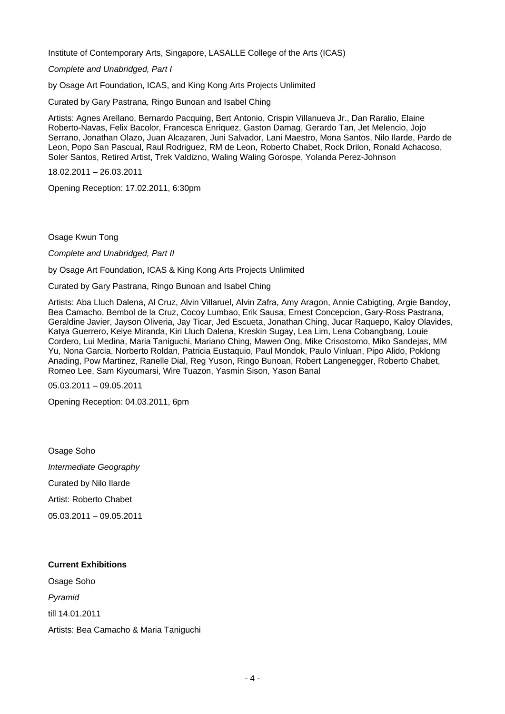Institute of Contemporary Arts, Singapore, LASALLE College of the Arts (ICAS)

*Complete and Unabridged, Part I* 

by Osage Art Foundation, ICAS, and King Kong Arts Projects Unlimited

Curated by Gary Pastrana, Ringo Bunoan and Isabel Ching

Artists: Agnes Arellano, Bernardo Pacquing, Bert Antonio, Crispin Villanueva Jr., Dan Raralio, Elaine Roberto-Navas, Felix Bacolor, Francesca Enriquez, Gaston Damag, Gerardo Tan, Jet Melencio, Jojo Serrano, Jonathan Olazo, Juan Alcazaren, Juni Salvador, Lani Maestro, Mona Santos, Nilo Ilarde, Pardo de Leon, Popo San Pascual, Raul Rodriguez, RM de Leon, Roberto Chabet, Rock Drilon, Ronald Achacoso, Soler Santos, Retired Artist, Trek Valdizno, Waling Waling Gorospe, Yolanda Perez-Johnson

18.02.2011 – 26.03.2011

Opening Reception: 17.02.2011, 6:30pm

Osage Kwun Tong

*Complete and Unabridged, Part II* 

by Osage Art Foundation, ICAS & King Kong Arts Projects Unlimited

Curated by Gary Pastrana, Ringo Bunoan and Isabel Ching

Artists: Aba Lluch Dalena, Al Cruz, Alvin Villaruel, Alvin Zafra, Amy Aragon, Annie Cabigting, Argie Bandoy, Bea Camacho, Bembol de la Cruz, Cocoy Lumbao, Erik Sausa, Ernest Concepcion, Gary-Ross Pastrana, Geraldine Javier, Jayson Oliveria, Jay Ticar, Jed Escueta, Jonathan Ching, Jucar Raquepo, Kaloy Olavides, Katya Guerrero, Keiye Miranda, Kiri Lluch Dalena, Kreskin Sugay, Lea Lim, Lena Cobangbang, Louie Cordero, Lui Medina, Maria Taniguchi, Mariano Ching, Mawen Ong, Mike Crisostomo, Miko Sandejas, MM Yu, Nona Garcia, Norberto Roldan, Patricia Eustaquio, Paul Mondok, Paulo Vinluan, Pipo Alido, Poklong Anading, Pow Martinez, Ranelle Dial, Reg Yuson, Ringo Bunoan, Robert Langenegger, Roberto Chabet, Romeo Lee, Sam Kiyoumarsi, Wire Tuazon, Yasmin Sison, Yason Banal

05.03.2011 – 09.05.2011

Opening Reception: 04.03.2011, 6pm

Osage Soho *Intermediate Geography*  Curated by Nilo Ilarde Artist: Roberto Chabet 05.03.2011 – 09.05.2011

#### **Current Exhibitions**

Osage Soho *Pyramid*  till 14.01.2011 Artists: Bea Camacho & Maria Taniguchi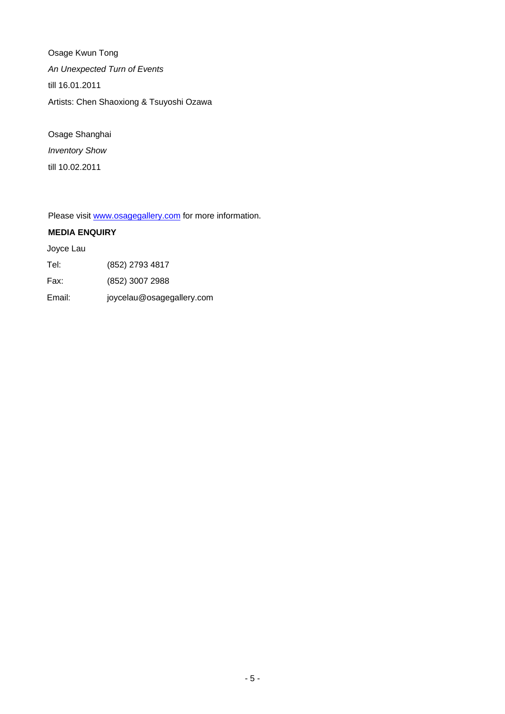Osage Kwun Tong *An Unexpected Turn of Events*  till 16.01.2011 Artists: Chen Shaoxiong & Tsuyoshi Ozawa

Osage Shanghai *Inventory Show*  till 10.02.2011

Please visit [www.osagegallery.com](http://www.osagegallery.com/) for more information.

#### **MEDIA ENQUIRY**

Joyce Lau

| Tel: | (852) 2793 4817 |
|------|-----------------|
|------|-----------------|

Fax: (852) 3007 2988

Email: joycelau@osagegallery.com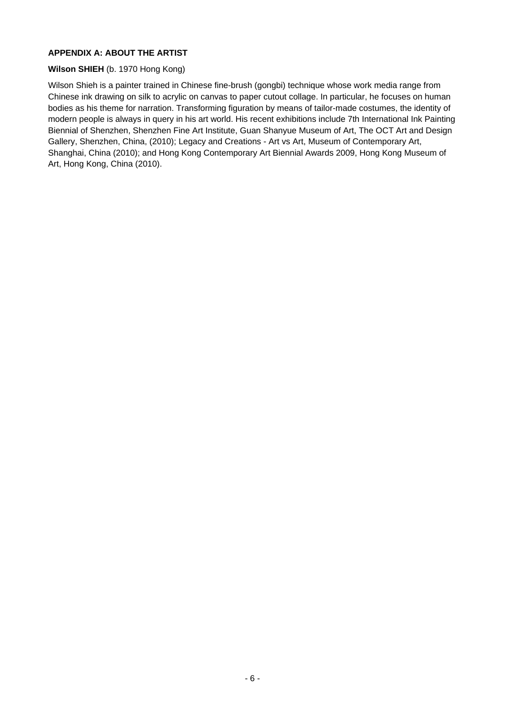### **APPENDIX A: ABOUT THE ARTIST**

#### **Wilson SHIEH** (b. 1970 Hong Kong)

Wilson Shieh is a painter trained in Chinese fine-brush (gongbi) technique whose work media range from Chinese ink drawing on silk to acrylic on canvas to paper cutout collage. In particular, he focuses on human bodies as his theme for narration. Transforming figuration by means of tailor-made costumes, the identity of modern people is always in query in his art world. His recent exhibitions include 7th International Ink Painting Biennial of Shenzhen, Shenzhen Fine Art Institute, Guan Shanyue Museum of Art, The OCT Art and Design Gallery, Shenzhen, China, (2010); Legacy and Creations - Art vs Art, Museum of Contemporary Art, Shanghai, China (2010); and Hong Kong Contemporary Art Biennial Awards 2009, Hong Kong Museum of Art, Hong Kong, China (2010).